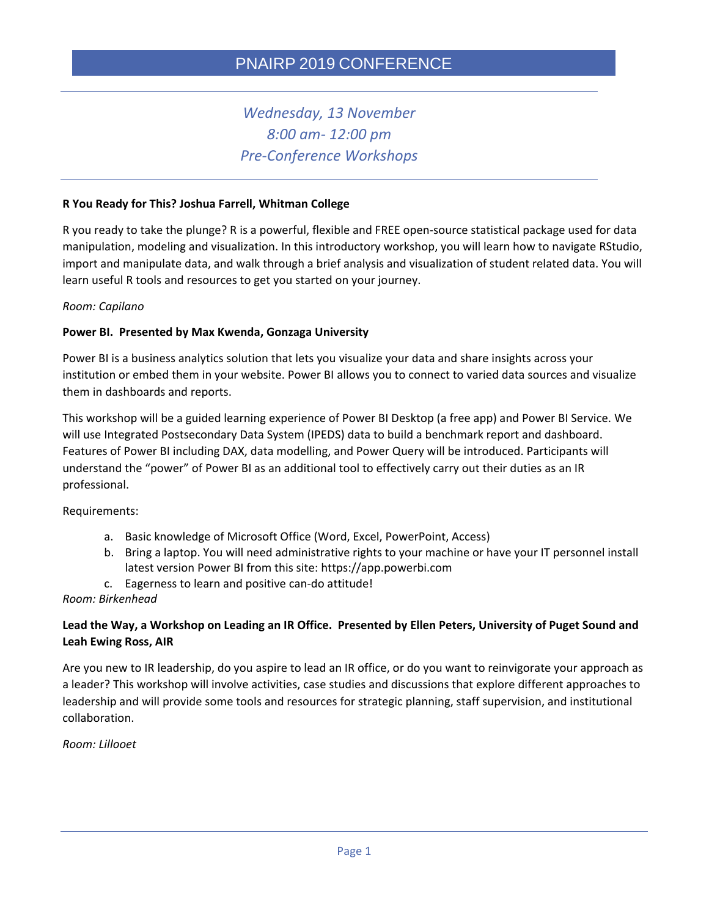# *Wednesday, 13 November 8:00 am- 12:00 pm Pre-Conference Workshops*

#### **R You Ready for This? Joshua Farrell, Whitman College**

R you ready to take the plunge? R is a powerful, flexible and FREE open-source statistical package used for data manipulation, modeling and visualization. In this introductory workshop, you will learn how to navigate RStudio, import and manipulate data, and walk through a brief analysis and visualization of student related data. You will learn useful R tools and resources to get you started on your journey.

#### *Room: Capilano*

#### **Power BI. Presented by Max Kwenda, Gonzaga University**

Power BI is a business analytics solution that lets you visualize your data and share insights across your institution or embed them in your website. Power BI allows you to connect to varied data sources and visualize them in dashboards and reports.

This workshop will be a guided learning experience of Power BI Desktop (a free app) and Power BI Service. We will use Integrated Postsecondary Data System (IPEDS) data to build a benchmark report and dashboard. Features of Power BI including DAX, data modelling, and Power Query will be introduced. Participants will understand the "power" of Power BI as an additional tool to effectively carry out their duties as an IR professional.

Requirements:

- a. Basic knowledge of Microsoft Office (Word, Excel, PowerPoint, Access)
- b. Bring a laptop. You will need administrative rights to your machine or have your IT personnel install latest version Power BI from this site: https://app.powerbi.com
- c. Eagerness to learn and positive can-do attitude!

#### *Room: Birkenhead*

## **Lead the Way, a Workshop on Leading an IR Office. Presented by Ellen Peters, University of Puget Sound and Leah Ewing Ross, AIR**

Are you new to IR leadership, do you aspire to lead an IR office, or do you want to reinvigorate your approach as a leader? This workshop will involve activities, case studies and discussions that explore different approaches to leadership and will provide some tools and resources for strategic planning, staff supervision, and institutional collaboration.

*Room: Lillooet*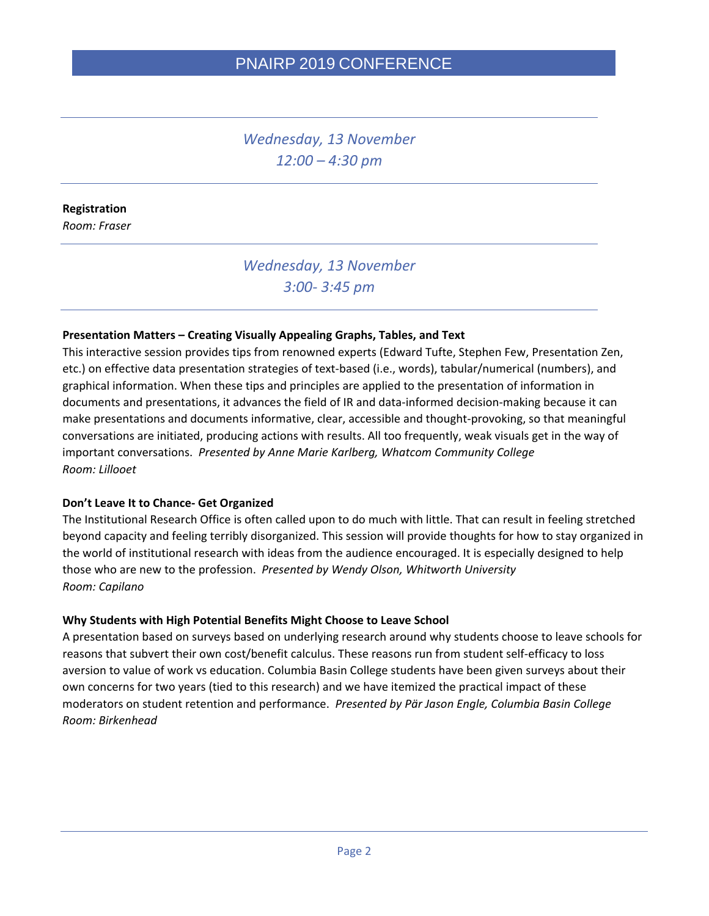*Wednesday, 13 November 12:00 – 4:30 pm*

### **Registration**

*Room: Fraser*

# *Wednesday, 13 November 3:00- 3:45 pm*

### **Presentation Matters – Creating Visually Appealing Graphs, Tables, and Text**

This interactive session provides tips from renowned experts (Edward Tufte, Stephen Few, Presentation Zen, etc.) on effective data presentation strategies of text-based (i.e., words), tabular/numerical (numbers), and graphical information. When these tips and principles are applied to the presentation of information in documents and presentations, it advances the field of IR and data-informed decision-making because it can make presentations and documents informative, clear, accessible and thought-provoking, so that meaningful conversations are initiated, producing actions with results. All too frequently, weak visuals get in the way of important conversations. *Presented by Anne Marie Karlberg, Whatcom Community College Room: Lillooet*

#### **Don't Leave It to Chance- Get Organized**

The Institutional Research Office is often called upon to do much with little. That can result in feeling stretched beyond capacity and feeling terribly disorganized. This session will provide thoughts for how to stay organized in the world of institutional research with ideas from the audience encouraged. It is especially designed to help those who are new to the profession. *Presented by Wendy Olson, Whitworth University Room: Capilano*

#### **Why Students with High Potential Benefits Might Choose to Leave School**

A presentation based on surveys based on underlying research around why students choose to leave schools for reasons that subvert their own cost/benefit calculus. These reasons run from student self-efficacy to loss aversion to value of work vs education. Columbia Basin College students have been given surveys about their own concerns for two years (tied to this research) and we have itemized the practical impact of these moderators on student retention and performance. *Presented by Pär Jason Engle, Columbia Basin College Room: Birkenhead*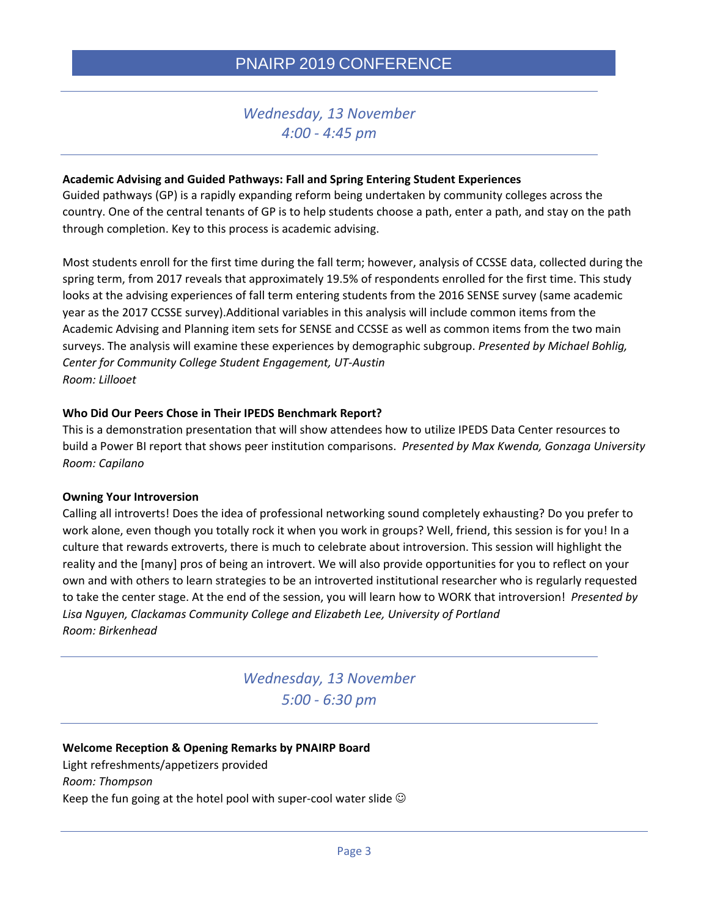## *Wednesday, 13 November 4:00 - 4:45 pm*

### **Academic Advising and Guided Pathways: Fall and Spring Entering Student Experiences**

Guided pathways (GP) is a rapidly expanding reform being undertaken by community colleges across the country. One of the central tenants of GP is to help students choose a path, enter a path, and stay on the path through completion. Key to this process is academic advising.

Most students enroll for the first time during the fall term; however, analysis of CCSSE data, collected during the spring term, from 2017 reveals that approximately 19.5% of respondents enrolled for the first time. This study looks at the advising experiences of fall term entering students from the 2016 SENSE survey (same academic year as the 2017 CCSSE survey).Additional variables in this analysis will include common items from the Academic Advising and Planning item sets for SENSE and CCSSE as well as common items from the two main surveys. The analysis will examine these experiences by demographic subgroup. *Presented by Michael Bohlig, Center for Community College Student Engagement, UT-Austin Room: Lillooet*

### **Who Did Our Peers Chose in Their IPEDS Benchmark Report?**

This is a demonstration presentation that will show attendees how to utilize IPEDS Data Center resources to build a Power BI report that shows peer institution comparisons. *Presented by Max Kwenda, Gonzaga University Room: Capilano*

#### **Owning Your Introversion**

Calling all introverts! Does the idea of professional networking sound completely exhausting? Do you prefer to work alone, even though you totally rock it when you work in groups? Well, friend, this session is for you! In a culture that rewards extroverts, there is much to celebrate about introversion. This session will highlight the reality and the [many] pros of being an introvert. We will also provide opportunities for you to reflect on your own and with others to learn strategies to be an introverted institutional researcher who is regularly requested to take the center stage. At the end of the session, you will learn how to WORK that introversion! *Presented by Lisa Nguyen, Clackamas Community College and Elizabeth Lee, University of Portland Room: Birkenhead*

> *Wednesday, 13 November 5:00 - 6:30 pm*

## **Welcome Reception & Opening Remarks by PNAIRP Board** Light refreshments/appetizers provided *Room: Thompson* Keep the fun going at the hotel pool with super-cool water slide  $\odot$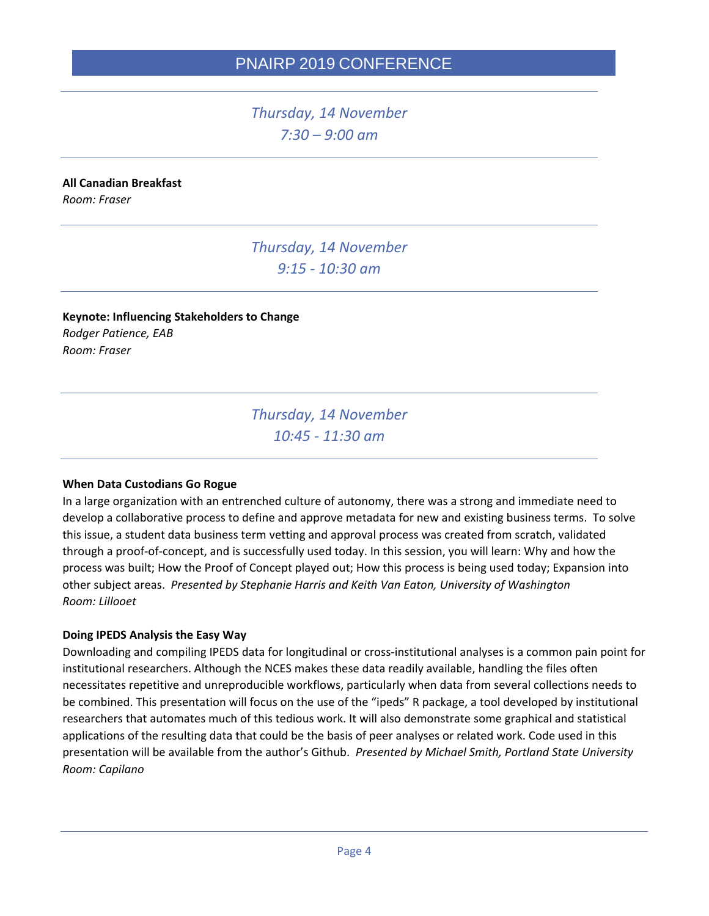*Thursday, 14 November 7:30 – 9:00 am*

## **All Canadian Breakfast**

*Room: Fraser* 

*Thursday, 14 November 9:15 - 10:30 am*

**Keynote: Influencing Stakeholders to Change** *Rodger Patience, EAB Room: Fraser* 

> *Thursday, 14 November 10:45 - 11:30 am*

#### **When Data Custodians Go Rogue**

In a large organization with an entrenched culture of autonomy, there was a strong and immediate need to develop a collaborative process to define and approve metadata for new and existing business terms. To solve this issue, a student data business term vetting and approval process was created from scratch, validated through a proof-of-concept, and is successfully used today. In this session, you will learn: Why and how the process was built; How the Proof of Concept played out; How this process is being used today; Expansion into other subject areas. *Presented by Stephanie Harris and Keith Van Eaton, University of Washington Room: Lillooet*

#### **Doing IPEDS Analysis the Easy Way**

Downloading and compiling IPEDS data for longitudinal or cross-institutional analyses is a common pain point for institutional researchers. Although the NCES makes these data readily available, handling the files often necessitates repetitive and unreproducible workflows, particularly when data from several collections needs to be combined. This presentation will focus on the use of the "ipeds" R package, a tool developed by institutional researchers that automates much of this tedious work. It will also demonstrate some graphical and statistical applications of the resulting data that could be the basis of peer analyses or related work. Code used in this presentation will be available from the author's Github. *Presented by Michael Smith, Portland State University Room: Capilano*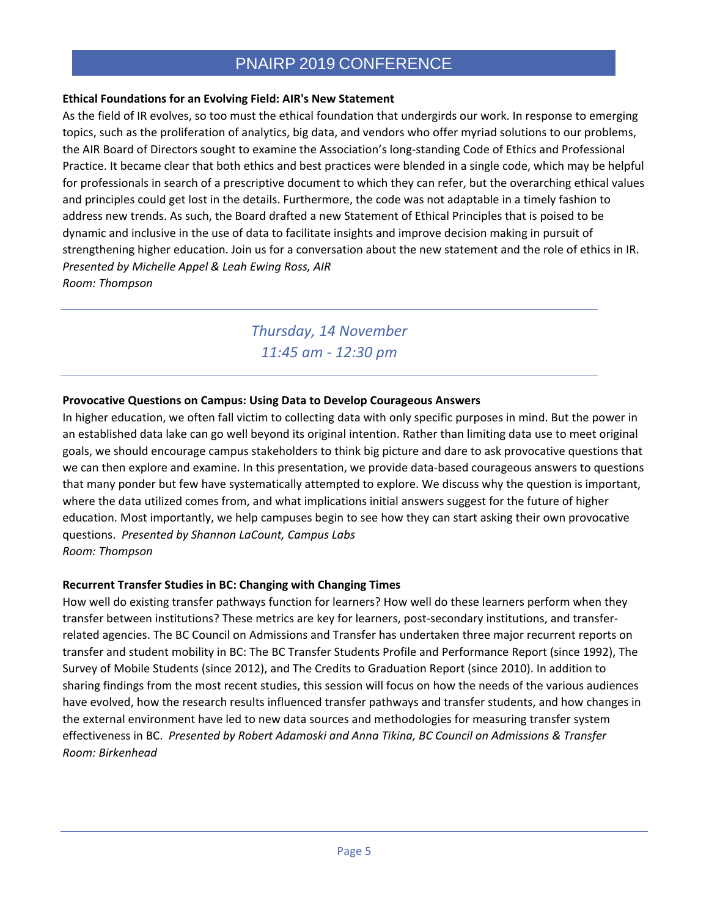## **Ethical Foundations for an Evolving Field: AIR's New Statement**

As the field of IR evolves, so too must the ethical foundation that undergirds our work. In response to emerging topics, such as the proliferation of analytics, big data, and vendors who offer myriad solutions to our problems, the AIR Board of Directors sought to examine the Association's long-standing Code of Ethics and Professional Practice. It became clear that both ethics and best practices were blended in a single code, which may be helpful for professionals in search of a prescriptive document to which they can refer, but the overarching ethical values and principles could get lost in the details. Furthermore, the code was not adaptable in a timely fashion to address new trends. As such, the Board drafted a new Statement of Ethical Principles that is poised to be dynamic and inclusive in the use of data to facilitate insights and improve decision making in pursuit of strengthening higher education. Join us for a conversation about the new statement and the role of ethics in IR. *Presented by Michelle Appel & Leah Ewing Ross, AIR Room: Thompson*

> *Thursday, 14 November 11:45 am - 12:30 pm*

## **Provocative Questions on Campus: Using Data to Develop Courageous Answers**

In higher education, we often fall victim to collecting data with only specific purposes in mind. But the power in an established data lake can go well beyond its original intention. Rather than limiting data use to meet original goals, we should encourage campus stakeholders to think big picture and dare to ask provocative questions that we can then explore and examine. In this presentation, we provide data-based courageous answers to questions that many ponder but few have systematically attempted to explore. We discuss why the question is important, where the data utilized comes from, and what implications initial answers suggest for the future of higher education. Most importantly, we help campuses begin to see how they can start asking their own provocative questions. *Presented by Shannon LaCount, Campus Labs Room: Thompson*

## **Recurrent Transfer Studies in BC: Changing with Changing Times**

How well do existing transfer pathways function for learners? How well do these learners perform when they transfer between institutions? These metrics are key for learners, post-secondary institutions, and transferrelated agencies. The BC Council on Admissions and Transfer has undertaken three major recurrent reports on transfer and student mobility in BC: The BC Transfer Students Profile and Performance Report (since 1992), The Survey of Mobile Students (since 2012), and The Credits to Graduation Report (since 2010). In addition to sharing findings from the most recent studies, this session will focus on how the needs of the various audiences have evolved, how the research results influenced transfer pathways and transfer students, and how changes in the external environment have led to new data sources and methodologies for measuring transfer system effectiveness in BC. *Presented by Robert Adamoski and Anna Tikina, BC Council on Admissions & Transfer Room: Birkenhead*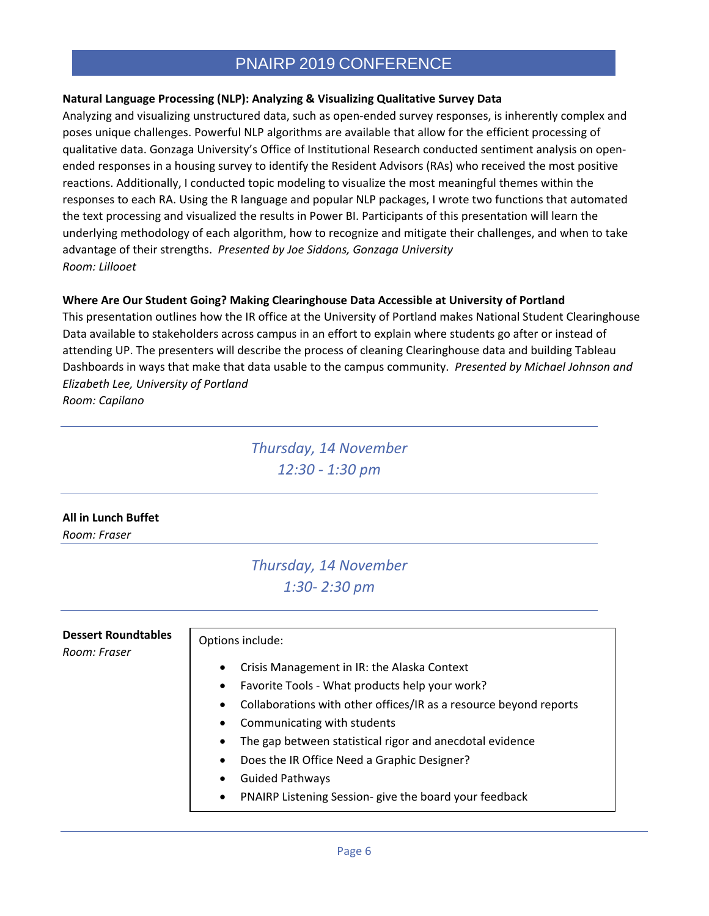## **Natural Language Processing (NLP): Analyzing & Visualizing Qualitative Survey Data**

Analyzing and visualizing unstructured data, such as open-ended survey responses, is inherently complex and poses unique challenges. Powerful NLP algorithms are available that allow for the efficient processing of qualitative data. Gonzaga University's Office of Institutional Research conducted sentiment analysis on openended responses in a housing survey to identify the Resident Advisors (RAs) who received the most positive reactions. Additionally, I conducted topic modeling to visualize the most meaningful themes within the responses to each RA. Using the R language and popular NLP packages, I wrote two functions that automated the text processing and visualized the results in Power BI. Participants of this presentation will learn the underlying methodology of each algorithm, how to recognize and mitigate their challenges, and when to take advantage of their strengths. *Presented by Joe Siddons, Gonzaga University Room: Lillooet*

### **Where Are Our Student Going? Making Clearinghouse Data Accessible at University of Portland**

This presentation outlines how the IR office at the University of Portland makes National Student Clearinghouse Data available to stakeholders across campus in an effort to explain where students go after or instead of attending UP. The presenters will describe the process of cleaning Clearinghouse data and building Tableau Dashboards in ways that make that data usable to the campus community. *Presented by Michael Johnson and Elizabeth Lee, University of Portland*

*Room: Capilano*

*Thursday, 14 November 12:30 - 1:30 pm*

## **All in Lunch Buffet**

*Room: Fraser* 

# *Thursday, 14 November 1:30- 2:30 pm*

| <b>Dessert Roundtables</b><br>Room: Fraser | Options include:                                                               |
|--------------------------------------------|--------------------------------------------------------------------------------|
|                                            | Crisis Management in IR: the Alaska Context<br>$\bullet$                       |
|                                            | Favorite Tools - What products help your work?<br>$\bullet$                    |
|                                            | Collaborations with other offices/IR as a resource beyond reports<br>$\bullet$ |
|                                            | Communicating with students<br>$\bullet$                                       |
|                                            | The gap between statistical rigor and anecdotal evidence<br>$\bullet$          |
|                                            | Does the IR Office Need a Graphic Designer?<br>$\bullet$                       |
|                                            | <b>Guided Pathways</b><br>٠                                                    |
|                                            | PNAIRP Listening Session- give the board your feedback<br>$\bullet$            |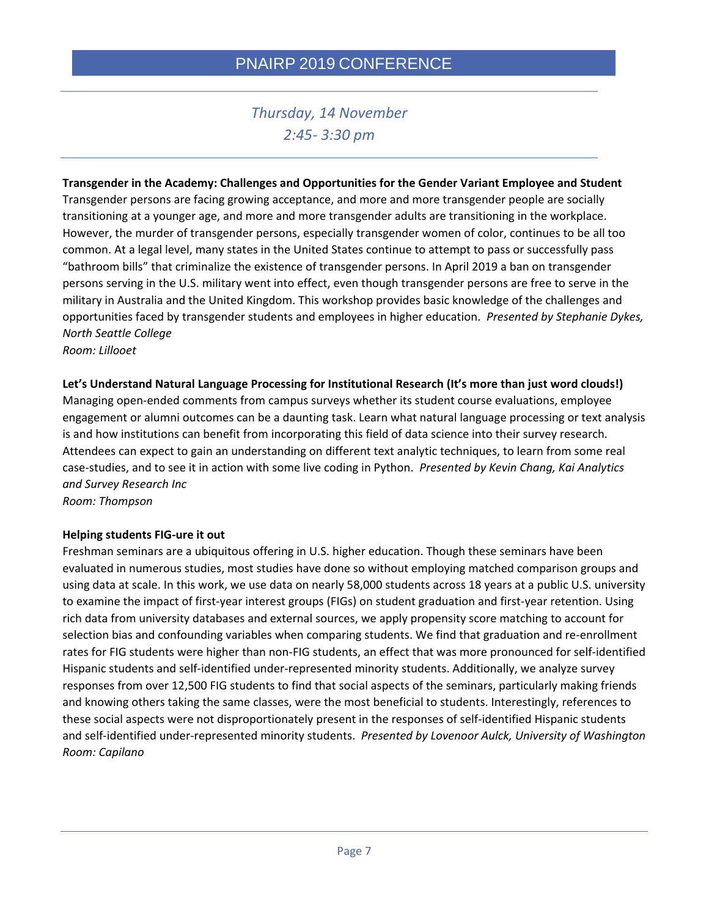# *Thursday, 14 November 2:45- 3:30 pm*

# **Transgender in the Academy: Challenges and Opportunities for the Gender Variant Employee and Student**

Transgender persons are facing growing acceptance, and more and more transgender people are socially transitioning at a younger age, and more and more transgender adults are transitioning in the workplace. However, the murder of transgender persons, especially transgender women of color, continues to be all too common. At a legal level, many states in the United States continue to attempt to pass or successfully pass "bathroom bills" that criminalize the existence of transgender persons. In April 2019 a ban on transgender persons serving in the U.S. military went into effect, even though transgender persons are free to serve in the military in Australia and the United Kingdom. This workshop provides basic knowledge of the challenges and opportunities faced by transgender students and employees in higher education. *Presented by Stephanie Dykes, North Seattle College*

*Room: Lillooet*

#### **Let's Understand Natural Language Processing for Institutional Research (It's more than just word clouds!)**

Managing open-ended comments from campus surveys whether its student course evaluations, employee engagement or alumni outcomes can be a daunting task. Learn what natural language processing or text analysis is and how institutions can benefit from incorporating this field of data science into their survey research. Attendees can expect to gain an understanding on different text analytic techniques, to learn from some real case-studies, and to see it in action with some live coding in Python. *Presented by Kevin Chang, Kai Analytics and Survey Research Inc*

*Room: Thompson*

#### **Helping students FIG-ure it out**

Freshman seminars are a ubiquitous offering in U.S. higher education. Though these seminars have been evaluated in numerous studies, most studies have done so without employing matched comparison groups and using data at scale. In this work, we use data on nearly 58,000 students across 18 years at a public U.S. university to examine the impact of first-year interest groups (FIGs) on student graduation and first-year retention. Using rich data from university databases and external sources, we apply propensity score matching to account for selection bias and confounding variables when comparing students. We find that graduation and re-enrollment rates for FIG students were higher than non-FIG students, an effect that was more pronounced for self-identified Hispanic students and self-identified under-represented minority students. Additionally, we analyze survey responses from over 12,500 FIG students to find that social aspects of the seminars, particularly making friends and knowing others taking the same classes, were the most beneficial to students. Interestingly, references to these social aspects were not disproportionately present in the responses of self-identified Hispanic students and self-identified under-represented minority students. *Presented by Lovenoor Aulck, University of Washington Room: Capilano*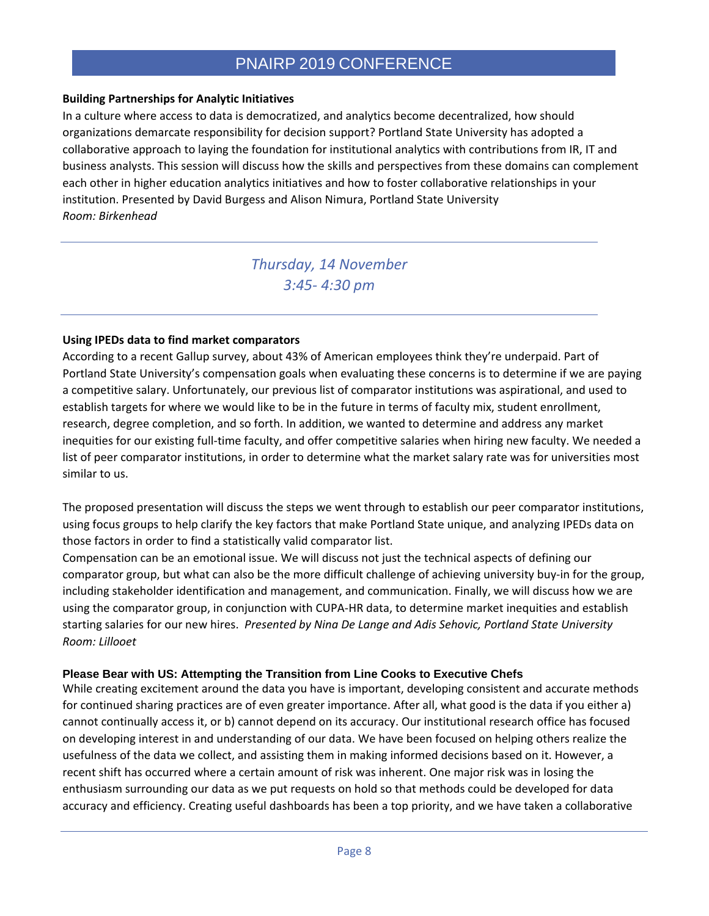## **Building Partnerships for Analytic Initiatives**

In a culture where access to data is democratized, and analytics become decentralized, how should organizations demarcate responsibility for decision support? Portland State University has adopted a collaborative approach to laying the foundation for institutional analytics with contributions from IR, IT and business analysts. This session will discuss how the skills and perspectives from these domains can complement each other in higher education analytics initiatives and how to foster collaborative relationships in your institution. Presented by David Burgess and Alison Nimura, Portland State University *Room: Birkenhead*

> *Thursday, 14 November 3:45- 4:30 pm*

### **Using IPEDs data to find market comparators**

According to a recent Gallup survey, about 43% of American employees think they're underpaid. Part of Portland State University's compensation goals when evaluating these concerns is to determine if we are paying a competitive salary. Unfortunately, our previous list of comparator institutions was aspirational, and used to establish targets for where we would like to be in the future in terms of faculty mix, student enrollment, research, degree completion, and so forth. In addition, we wanted to determine and address any market inequities for our existing full-time faculty, and offer competitive salaries when hiring new faculty. We needed a list of peer comparator institutions, in order to determine what the market salary rate was for universities most similar to us.

The proposed presentation will discuss the steps we went through to establish our peer comparator institutions, using focus groups to help clarify the key factors that make Portland State unique, and analyzing IPEDs data on those factors in order to find a statistically valid comparator list.

Compensation can be an emotional issue. We will discuss not just the technical aspects of defining our comparator group, but what can also be the more difficult challenge of achieving university buy-in for the group, including stakeholder identification and management, and communication. Finally, we will discuss how we are using the comparator group, in conjunction with CUPA-HR data, to determine market inequities and establish starting salaries for our new hires. *Presented by Nina De Lange and Adis Sehovic, Portland State University Room: Lillooet*

#### **Please Bear with US: Attempting the Transition from Line Cooks to Executive Chefs**

While creating excitement around the data you have is important, developing consistent and accurate methods for continued sharing practices are of even greater importance. After all, what good is the data if you either a) cannot continually access it, or b) cannot depend on its accuracy. Our institutional research office has focused on developing interest in and understanding of our data. We have been focused on helping others realize the usefulness of the data we collect, and assisting them in making informed decisions based on it. However, a recent shift has occurred where a certain amount of risk was inherent. One major risk was in losing the enthusiasm surrounding our data as we put requests on hold so that methods could be developed for data accuracy and efficiency. Creating useful dashboards has been a top priority, and we have taken a collaborative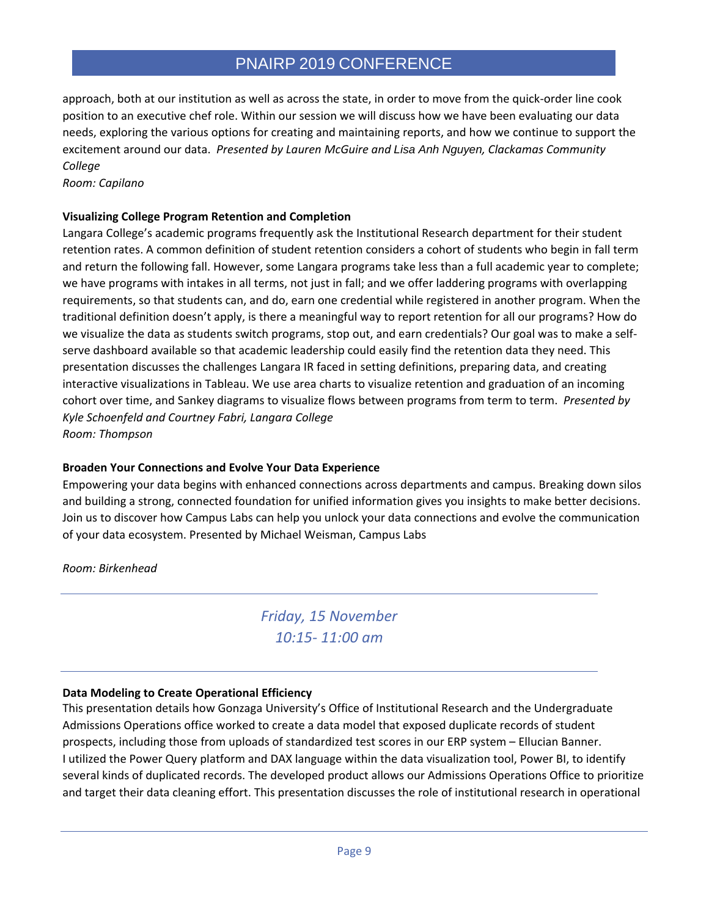approach, both at our institution as well as across the state, in order to move from the quick-order line cook position to an executive chef role. Within our session we will discuss how we have been evaluating our data needs, exploring the various options for creating and maintaining reports, and how we continue to support the excitement around our data. *Presented by Lauren McGuire and Lisa Anh Nguyen, Clackamas Community College*

*Room: Capilano*

## **Visualizing College Program Retention and Completion**

Langara College's academic programs frequently ask the Institutional Research department for their student retention rates. A common definition of student retention considers a cohort of students who begin in fall term and return the following fall. However, some Langara programs take less than a full academic year to complete; we have programs with intakes in all terms, not just in fall; and we offer laddering programs with overlapping requirements, so that students can, and do, earn one credential while registered in another program. When the traditional definition doesn't apply, is there a meaningful way to report retention for all our programs? How do we visualize the data as students switch programs, stop out, and earn credentials? Our goal was to make a selfserve dashboard available so that academic leadership could easily find the retention data they need. This presentation discusses the challenges Langara IR faced in setting definitions, preparing data, and creating interactive visualizations in Tableau. We use area charts to visualize retention and graduation of an incoming cohort over time, and Sankey diagrams to visualize flows between programs from term to term. *Presented by Kyle Schoenfeld and Courtney Fabri, Langara College Room: Thompson*

## **Broaden Your Connections and Evolve Your Data Experience**

Empowering your data begins with enhanced connections across departments and campus. Breaking down silos and building a strong, connected foundation for unified information gives you insights to make better decisions. Join us to discover how Campus Labs can help you unlock your data connections and evolve the communication of your data ecosystem. Presented by Michael Weisman, Campus Labs

*Room: Birkenhead*

*Friday, 15 November 10:15- 11:00 am*

## **Data Modeling to Create Operational Efficiency**

This presentation details how Gonzaga University's Office of Institutional Research and the Undergraduate Admissions Operations office worked to create a data model that exposed duplicate records of student prospects, including those from uploads of standardized test scores in our ERP system – Ellucian Banner. I utilized the Power Query platform and DAX language within the data visualization tool, Power BI, to identify several kinds of duplicated records. The developed product allows our Admissions Operations Office to prioritize and target their data cleaning effort. This presentation discusses the role of institutional research in operational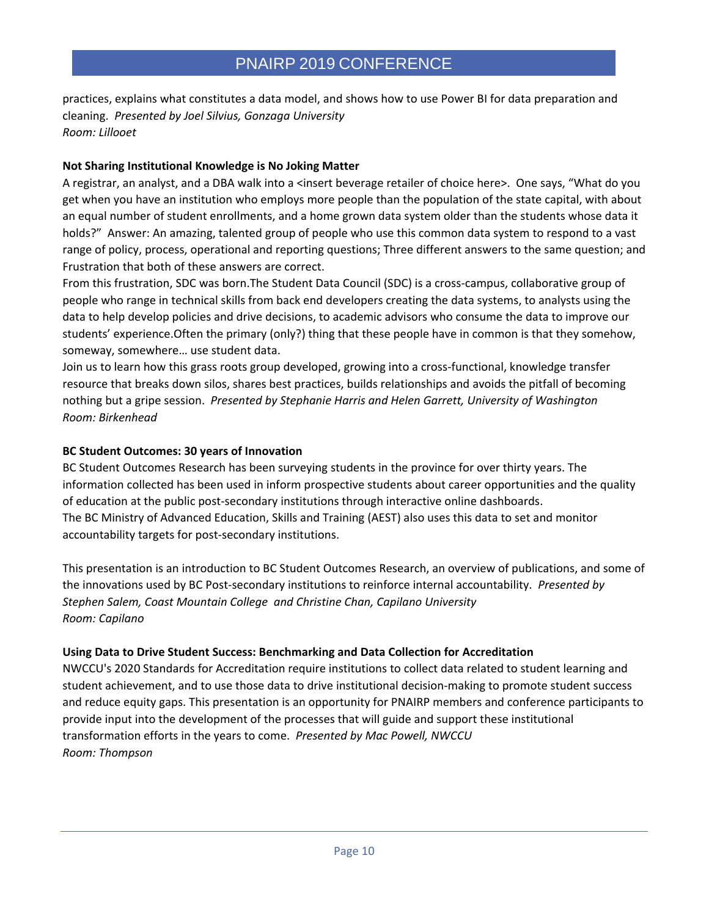practices, explains what constitutes a data model, and shows how to use Power BI for data preparation and cleaning. *Presented by Joel Silvius, Gonzaga University Room: Lillooet*

## **Not Sharing Institutional Knowledge is No Joking Matter**

A registrar, an analyst, and a DBA walk into a <insert beverage retailer of choice here>. One says, "What do you get when you have an institution who employs more people than the population of the state capital, with about an equal number of student enrollments, and a home grown data system older than the students whose data it holds?" Answer: An amazing, talented group of people who use this common data system to respond to a vast range of policy, process, operational and reporting questions; Three different answers to the same question; and Frustration that both of these answers are correct.

From this frustration, SDC was born.The Student Data Council (SDC) is a cross-campus, collaborative group of people who range in technical skills from back end developers creating the data systems, to analysts using the data to help develop policies and drive decisions, to academic advisors who consume the data to improve our students' experience.Often the primary (only?) thing that these people have in common is that they somehow, someway, somewhere… use student data.

Join us to learn how this grass roots group developed, growing into a cross-functional, knowledge transfer resource that breaks down silos, shares best practices, builds relationships and avoids the pitfall of becoming nothing but a gripe session. *Presented by Stephanie Harris and Helen Garrett, University of Washington Room: Birkenhead*

#### **BC Student Outcomes: 30 years of Innovation**

BC Student Outcomes Research has been surveying students in the province for over thirty years. The information collected has been used in inform prospective students about career opportunities and the quality of education at the public post-secondary institutions through interactive online dashboards. The BC Ministry of Advanced Education, Skills and Training (AEST) also uses this data to set and monitor accountability targets for post-secondary institutions.

This presentation is an introduction to BC Student Outcomes Research, an overview of publications, and some of the innovations used by BC Post-secondary institutions to reinforce internal accountability. *Presented by Stephen Salem, Coast Mountain College and Christine Chan, Capilano University Room: Capilano*

## **Using Data to Drive Student Success: Benchmarking and Data Collection for Accreditation**

NWCCU's 2020 Standards for Accreditation require institutions to collect data related to student learning and student achievement, and to use those data to drive institutional decision-making to promote student success and reduce equity gaps. This presentation is an opportunity for PNAIRP members and conference participants to provide input into the development of the processes that will guide and support these institutional transformation efforts in the years to come. *Presented by Mac Powell, NWCCU Room: Thompson*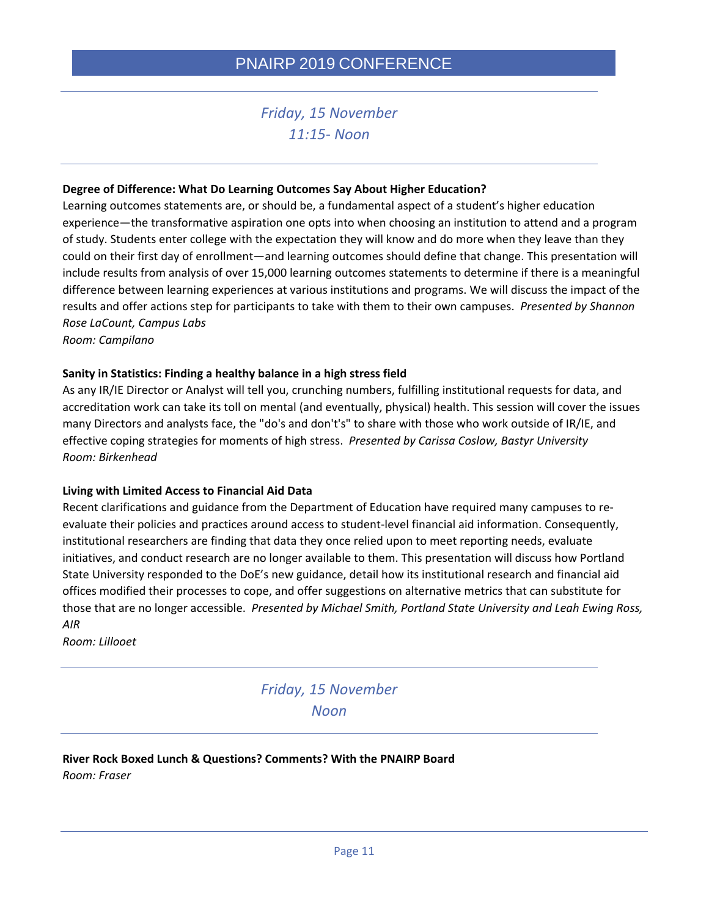# *Friday, 15 November 11:15- Noon*

#### **Degree of Difference: What Do Learning Outcomes Say About Higher Education?**

Learning outcomes statements are, or should be, a fundamental aspect of a student's higher education experience—the transformative aspiration one opts into when choosing an institution to attend and a program of study. Students enter college with the expectation they will know and do more when they leave than they could on their first day of enrollment—and learning outcomes should define that change. This presentation will include results from analysis of over 15,000 learning outcomes statements to determine if there is a meaningful difference between learning experiences at various institutions and programs. We will discuss the impact of the results and offer actions step for participants to take with them to their own campuses. *Presented by Shannon Rose LaCount, Campus Labs*

*Room: Campilano*

#### **Sanity in Statistics: Finding a healthy balance in a high stress field**

As any IR/IE Director or Analyst will tell you, crunching numbers, fulfilling institutional requests for data, and accreditation work can take its toll on mental (and eventually, physical) health. This session will cover the issues many Directors and analysts face, the "do's and don't's" to share with those who work outside of IR/IE, and effective coping strategies for moments of high stress. *Presented by Carissa Coslow, Bastyr University Room: Birkenhead*

#### **Living with Limited Access to Financial Aid Data**

Recent clarifications and guidance from the Department of Education have required many campuses to reevaluate their policies and practices around access to student-level financial aid information. Consequently, institutional researchers are finding that data they once relied upon to meet reporting needs, evaluate initiatives, and conduct research are no longer available to them. This presentation will discuss how Portland State University responded to the DoE's new guidance, detail how its institutional research and financial aid offices modified their processes to cope, and offer suggestions on alternative metrics that can substitute for those that are no longer accessible. *Presented by Michael Smith, Portland State University and Leah Ewing Ross, AIR*

*Room: Lillooet*

*Friday, 15 November Noon*

**River Rock Boxed Lunch & Questions? Comments? With the PNAIRP Board** *Room: Fraser*